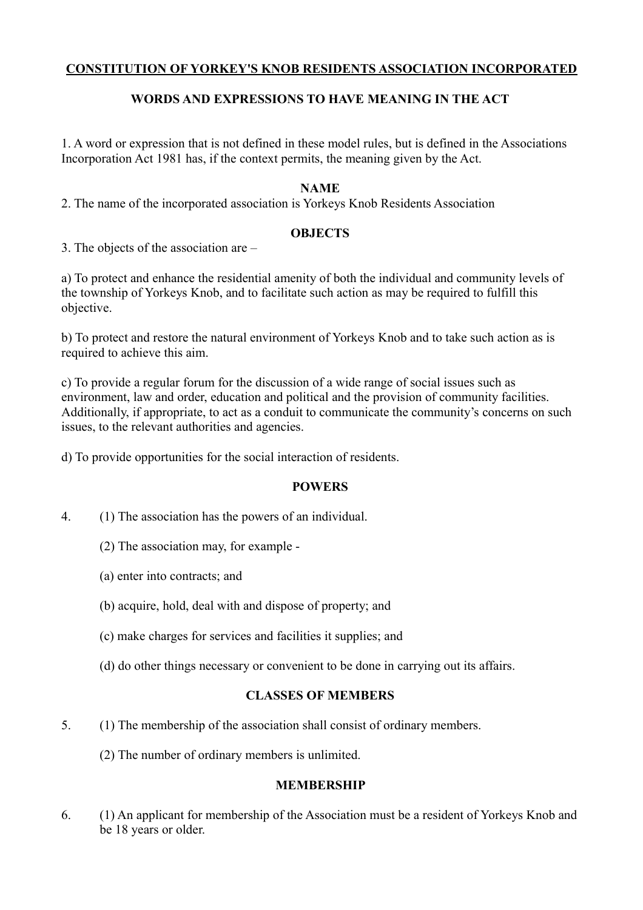## **CONSTITUTION OF YORKEY'S KNOB RESIDENTS ASSOCIATION INCORPORATED**

## **WORDS AND EXPRESSIONS TO HAVE MEANING IN THE ACT**

1. A word or expression that is not defined in these model rules, but is defined in the Associations Incorporation Act 1981 has, if the context permits, the meaning given by the Act.

#### **NAME**

2. The name of the incorporated association is Yorkeys Knob Residents Association

#### **OBJECTS**

3. The objects of the association are –

a) To protect and enhance the residential amenity of both the individual and community levels of the township of Yorkeys Knob, and to facilitate such action as may be required to fulfill this objective.

b) To protect and restore the natural environment of Yorkeys Knob and to take such action as is required to achieve this aim.

c) To provide a regular forum for the discussion of a wide range of social issues such as environment, law and order, education and political and the provision of community facilities. Additionally, if appropriate, to act as a conduit to communicate the community's concerns on such issues, to the relevant authorities and agencies.

d) To provide opportunities for the social interaction of residents.

## **POWERS**

- 4. (1) The association has the powers of an individual.
	- (2) The association may, for example -
	- (a) enter into contracts; and
	- (b) acquire, hold, deal with and dispose of property; and
	- (c) make charges for services and facilities it supplies; and
	- (d) do other things necessary or convenient to be done in carrying out its affairs.

## **CLASSES OF MEMBERS**

- 5. (1) The membership of the association shall consist of ordinary members.
	- (2) The number of ordinary members is unlimited.

# **MEMBERSHIP**

6. (1) An applicant for membership of the Association must be a resident of Yorkeys Knob and be 18 years or older.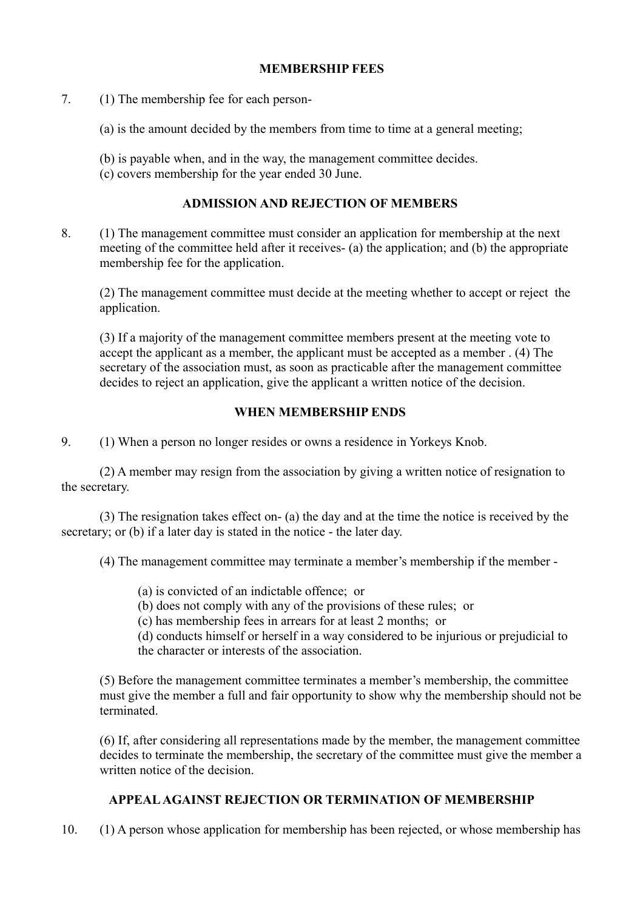#### **MEMBERSHIP FEES**

- 7. (1) The membership fee for each person-
	- (a) is the amount decided by the members from time to time at a general meeting;
	- (b) is payable when, and in the way, the management committee decides.
	- (c) covers membership for the year ended 30 June.

#### **ADMISSION AND REJECTION OF MEMBERS**

8. (1) The management committee must consider an application for membership at the next meeting of the committee held after it receives- (a) the application; and (b) the appropriate membership fee for the application.

(2) The management committee must decide at the meeting whether to accept or reject the application.

(3) If a majority of the management committee members present at the meeting vote to accept the applicant as a member, the applicant must be accepted as a member . (4) The secretary of the association must, as soon as practicable after the management committee decides to reject an application, give the applicant a written notice of the decision.

# **WHEN MEMBERSHIP ENDS**

9. (1) When a person no longer resides or owns a residence in Yorkeys Knob.

(2) A member may resign from the association by giving a written notice of resignation to the secretary.

(3) The resignation takes effect on- (a) the day and at the time the notice is received by the secretary; or (b) if a later day is stated in the notice - the later day.

(4) The management committee may terminate a member's membership if the member -

- (a) is convicted of an indictable offence; or
- (b) does not comply with any of the provisions of these rules; or
- (c) has membership fees in arrears for at least 2 months; or

(d) conducts himself or herself in a way considered to be injurious or prejudicial to the character or interests of the association.

(5) Before the management committee terminates a member's membership, the committee must give the member a full and fair opportunity to show why the membership should not be terminated.

(6) If, after considering all representations made by the member, the management committee decides to terminate the membership, the secretary of the committee must give the member a written notice of the decision.

## **APPEAL AGAINST REJECTION OR TERMINATION OF MEMBERSHIP**

10. (1) A person whose application for membership has been rejected, or whose membership has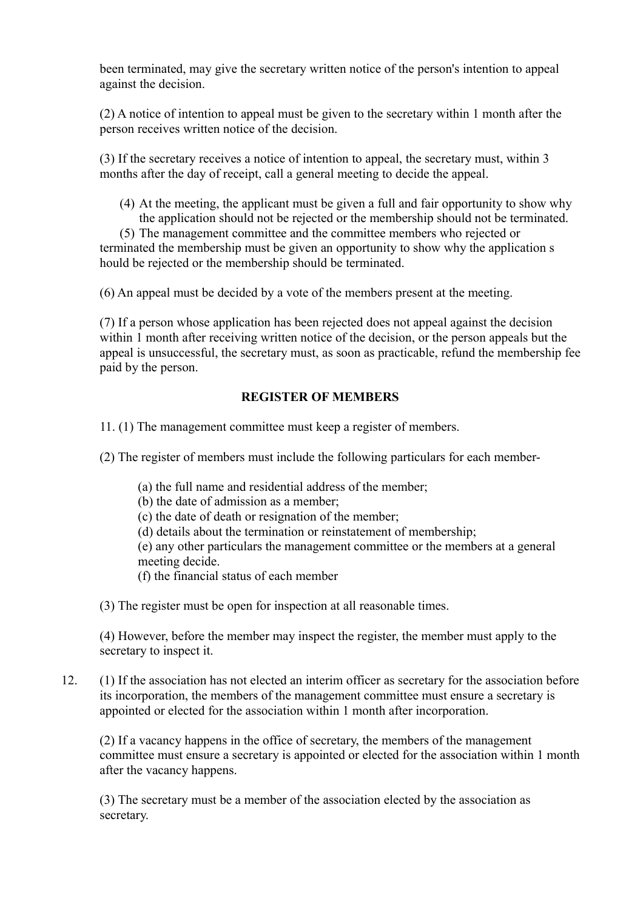been terminated, may give the secretary written notice of the person's intention to appeal against the decision.

(2) A notice of intention to appeal must be given to the secretary within 1 month after the person receives written notice of the decision.

(3) If the secretary receives a notice of intention to appeal, the secretary must, within 3 months after the day of receipt, call a general meeting to decide the appeal.

(4) At the meeting, the applicant must be given a full and fair opportunity to show why the application should not be rejected or the membership should not be terminated.

(5) The management committee and the committee members who rejected or terminated the membership must be given an opportunity to show why the application s hould be rejected or the membership should be terminated.

(6) An appeal must be decided by a vote of the members present at the meeting.

(7) If a person whose application has been rejected does not appeal against the decision within 1 month after receiving written notice of the decision, or the person appeals but the appeal is unsuccessful, the secretary must, as soon as practicable, refund the membership fee paid by the person.

#### **REGISTER OF MEMBERS**

11. (1) The management committee must keep a register of members.

(2) The register of members must include the following particulars for each member-

- (a) the full name and residential address of the member;
- (b) the date of admission as a member;
- (c) the date of death or resignation of the member;
- (d) details about the termination or reinstatement of membership;

(e) any other particulars the management committee or the members at a general meeting decide.

- (f) the financial status of each member
- (3) The register must be open for inspection at all reasonable times.

(4) However, before the member may inspect the register, the member must apply to the secretary to inspect it.

12. (1) If the association has not elected an interim officer as secretary for the association before its incorporation, the members of the management committee must ensure a secretary is appointed or elected for the association within 1 month after incorporation.

(2) If a vacancy happens in the office of secretary, the members of the management committee must ensure a secretary is appointed or elected for the association within 1 month after the vacancy happens.

(3) The secretary must be a member of the association elected by the association as secretary.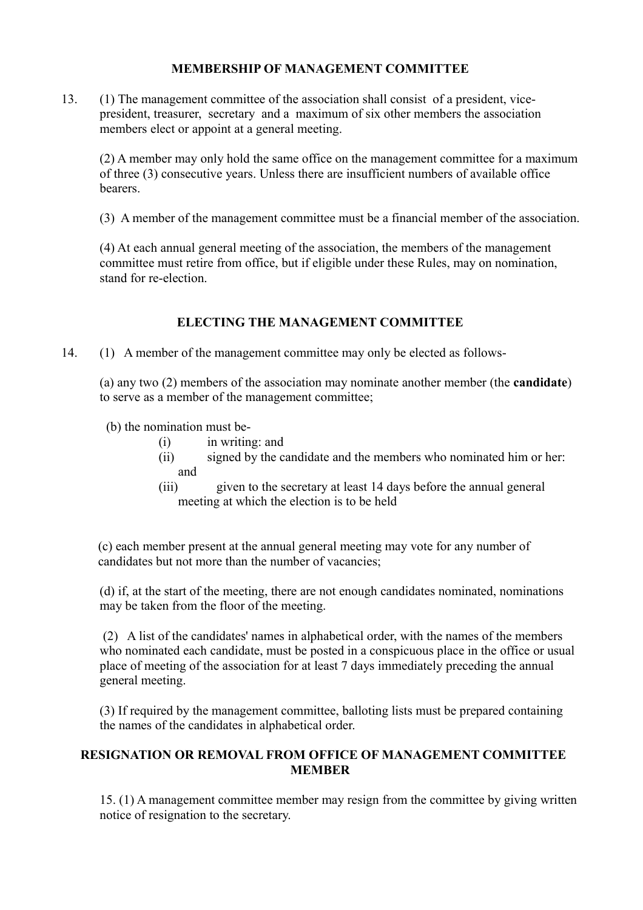#### **MEMBERSHIP OF MANAGEMENT COMMITTEE**

13. (1) The management committee of the association shall consist of a president, vicepresident, treasurer, secretary and a maximum of six other members the association members elect or appoint at a general meeting.

(2) A member may only hold the same office on the management committee for a maximum of three (3) consecutive years. Unless there are insufficient numbers of available office bearers.

(3) A member of the management committee must be a financial member of the association.

(4) At each annual general meeting of the association, the members of the management committee must retire from office, but if eligible under these Rules, may on nomination, stand for re-election.

# **ELECTING THE MANAGEMENT COMMITTEE**

14. (1) A member of the management committee may only be elected as follows-

(a) any two (2) members of the association may nominate another member (the **candidate**) to serve as a member of the management committee;

(b) the nomination must be-

- (i) in writing: and
- (ii) signed by the candidate and the members who nominated him or her: and
- (iii) given to the secretary at least 14 days before the annual general meeting at which the election is to be held

(c) each member present at the annual general meeting may vote for any number of candidates but not more than the number of vacancies;

(d) if, at the start of the meeting, there are not enough candidates nominated, nominations may be taken from the floor of the meeting.

 (2) A list of the candidates' names in alphabetical order, with the names of the members who nominated each candidate, must be posted in a conspicuous place in the office or usual place of meeting of the association for at least 7 days immediately preceding the annual general meeting.

(3) If required by the management committee, balloting lists must be prepared containing the names of the candidates in alphabetical order.

## **RESIGNATION OR REMOVAL FROM OFFICE OF MANAGEMENT COMMITTEE MEMBER**

15. (1) A management committee member may resign from the committee by giving written notice of resignation to the secretary.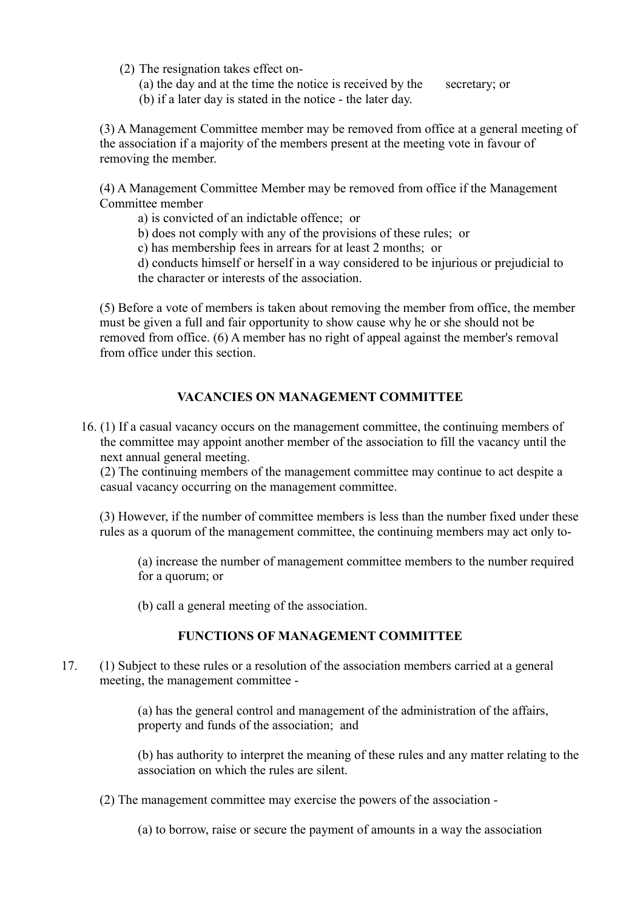- (2) The resignation takes effect on-
	- (a) the day and at the time the notice is received by the secretary; or
	- (b) if a later day is stated in the notice the later day.

(3) A Management Committee member may be removed from office at a general meeting of the association if a majority of the members present at the meeting vote in favour of removing the member.

(4) A Management Committee Member may be removed from office if the Management Committee member

- a) is convicted of an indictable offence; or
- b) does not comply with any of the provisions of these rules; or
- c) has membership fees in arrears for at least 2 months; or

d) conducts himself or herself in a way considered to be injurious or prejudicial to the character or interests of the association.

(5) Before a vote of members is taken about removing the member from office, the member must be given a full and fair opportunity to show cause why he or she should not be removed from office. (6) A member has no right of appeal against the member's removal from office under this section.

#### **VACANCIES ON MANAGEMENT COMMITTEE**

16. (1) If a casual vacancy occurs on the management committee, the continuing members of the committee may appoint another member of the association to fill the vacancy until the next annual general meeting.

(2) The continuing members of the management committee may continue to act despite a casual vacancy occurring on the management committee.

(3) However, if the number of committee members is less than the number fixed under these rules as a quorum of the management committee, the continuing members may act only to-

(a) increase the number of management committee members to the number required for a quorum; or

(b) call a general meeting of the association.

#### **FUNCTIONS OF MANAGEMENT COMMITTEE**

17. (1) Subject to these rules or a resolution of the association members carried at a general meeting, the management committee -

> (a) has the general control and management of the administration of the affairs, property and funds of the association; and

(b) has authority to interpret the meaning of these rules and any matter relating to the association on which the rules are silent.

(2) The management committee may exercise the powers of the association -

(a) to borrow, raise or secure the payment of amounts in a way the association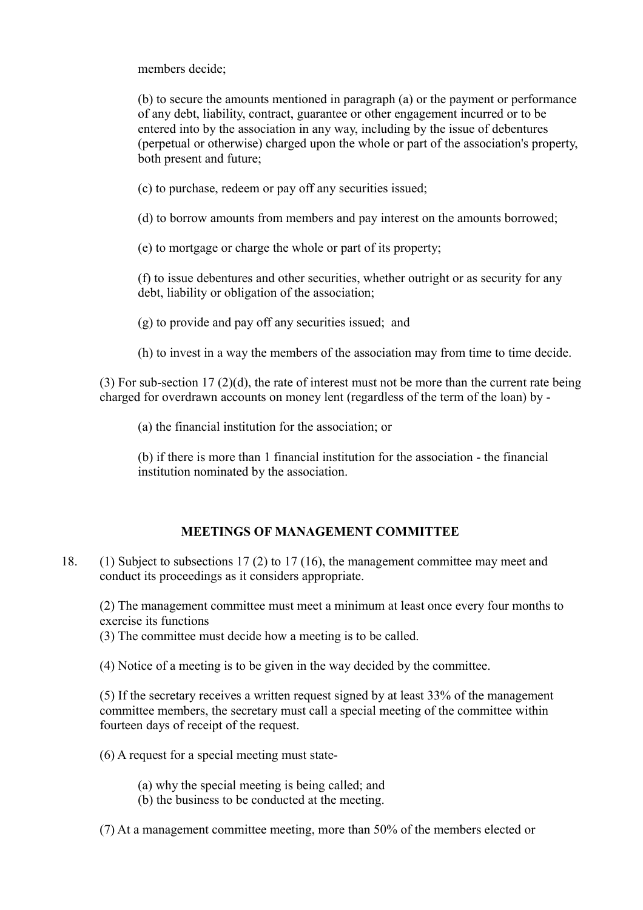members decide;

(b) to secure the amounts mentioned in paragraph (a) or the payment or performance of any debt, liability, contract, guarantee or other engagement incurred or to be entered into by the association in any way, including by the issue of debentures (perpetual or otherwise) charged upon the whole or part of the association's property, both present and future;

(c) to purchase, redeem or pay off any securities issued;

(d) to borrow amounts from members and pay interest on the amounts borrowed;

(e) to mortgage or charge the whole or part of its property;

(f) to issue debentures and other securities, whether outright or as security for any debt, liability or obligation of the association;

(g) to provide and pay off any securities issued; and

(h) to invest in a way the members of the association may from time to time decide.

(3) For sub-section 17 (2)(d), the rate of interest must not be more than the current rate being charged for overdrawn accounts on money lent (regardless of the term of the loan) by -

(a) the financial institution for the association; or

(b) if there is more than 1 financial institution for the association - the financial institution nominated by the association.

## **MEETINGS OF MANAGEMENT COMMITTEE**

18. (1) Subject to subsections 17 (2) to 17 (16), the management committee may meet and conduct its proceedings as it considers appropriate.

(2) The management committee must meet a minimum at least once every four months to exercise its functions

(3) The committee must decide how a meeting is to be called.

(4) Notice of a meeting is to be given in the way decided by the committee.

(5) If the secretary receives a written request signed by at least 33% of the management committee members, the secretary must call a special meeting of the committee within fourteen days of receipt of the request.

(6) A request for a special meeting must state-

(a) why the special meeting is being called; and

(b) the business to be conducted at the meeting.

(7) At a management committee meeting, more than 50% of the members elected or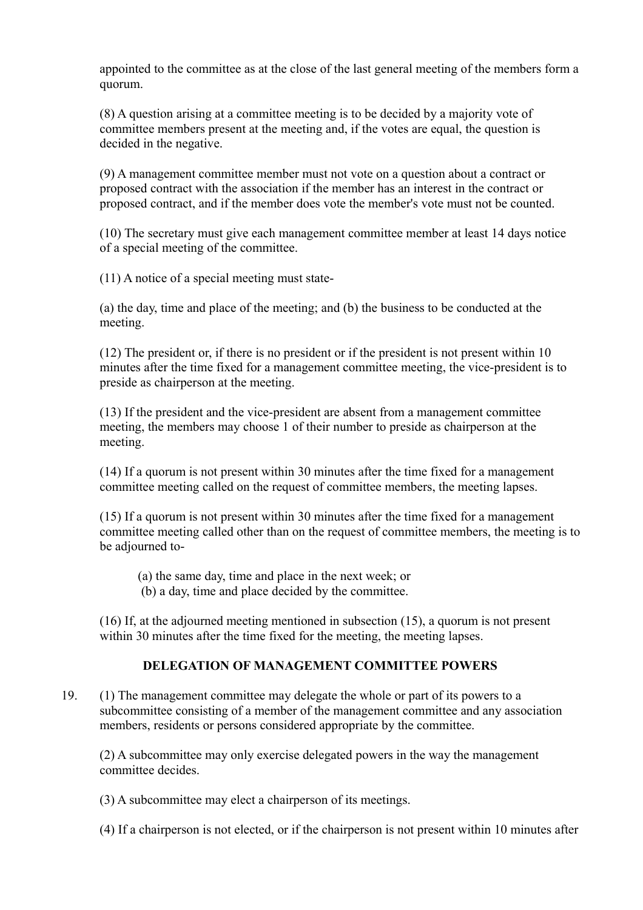appointed to the committee as at the close of the last general meeting of the members form a quorum.

(8) A question arising at a committee meeting is to be decided by a majority vote of committee members present at the meeting and, if the votes are equal, the question is decided in the negative.

(9) A management committee member must not vote on a question about a contract or proposed contract with the association if the member has an interest in the contract or proposed contract, and if the member does vote the member's vote must not be counted.

(10) The secretary must give each management committee member at least 14 days notice of a special meeting of the committee.

(11) A notice of a special meeting must state-

(a) the day, time and place of the meeting; and (b) the business to be conducted at the meeting.

(12) The president or, if there is no president or if the president is not present within 10 minutes after the time fixed for a management committee meeting, the vice-president is to preside as chairperson at the meeting.

(13) If the president and the vice-president are absent from a management committee meeting, the members may choose 1 of their number to preside as chairperson at the meeting.

(14) If a quorum is not present within 30 minutes after the time fixed for a management committee meeting called on the request of committee members, the meeting lapses.

(15) If a quorum is not present within 30 minutes after the time fixed for a management committee meeting called other than on the request of committee members, the meeting is to be adjourned to-

(a) the same day, time and place in the next week; or

(b) a day, time and place decided by the committee.

(16) If, at the adjourned meeting mentioned in subsection (15), a quorum is not present within 30 minutes after the time fixed for the meeting, the meeting lapses.

# **DELEGATION OF MANAGEMENT COMMITTEE POWERS**

19. (1) The management committee may delegate the whole or part of its powers to a subcommittee consisting of a member of the management committee and any association members, residents or persons considered appropriate by the committee.

(2) A subcommittee may only exercise delegated powers in the way the management committee decides.

(3) A subcommittee may elect a chairperson of its meetings.

(4) If a chairperson is not elected, or if the chairperson is not present within 10 minutes after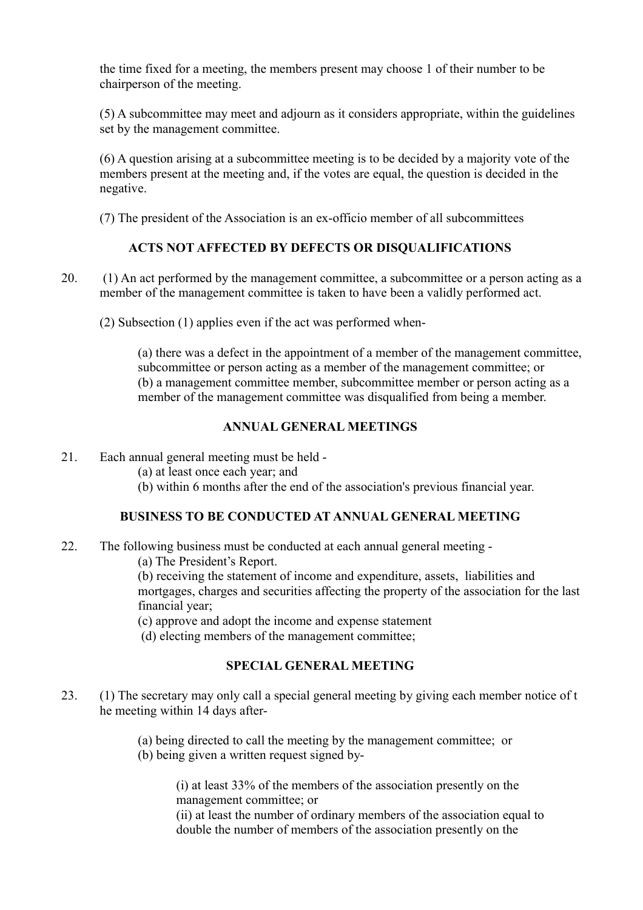the time fixed for a meeting, the members present may choose 1 of their number to be chairperson of the meeting.

(5) A subcommittee may meet and adjourn as it considers appropriate, within the guidelines set by the management committee.

(6) A question arising at a subcommittee meeting is to be decided by a majority vote of the members present at the meeting and, if the votes are equal, the question is decided in the negative.

(7) The president of the Association is an ex-officio member of all subcommittees

# **ACTS NOT AFFECTED BY DEFECTS OR DISQUALIFICATIONS**

20. (1) An act performed by the management committee, a subcommittee or a person acting as a member of the management committee is taken to have been a validly performed act.

(2) Subsection (1) applies even if the act was performed when-

(a) there was a defect in the appointment of a member of the management committee, subcommittee or person acting as a member of the management committee; or (b) a management committee member, subcommittee member or person acting as a member of the management committee was disqualified from being a member.

## **ANNUAL GENERAL MEETINGS**

21. Each annual general meeting must be held -

(a) at least once each year; and

(b) within 6 months after the end of the association's previous financial year.

## **BUSINESS TO BE CONDUCTED AT ANNUAL GENERAL MEETING**

22. The following business must be conducted at each annual general meeting -

(a) The President's Report.

(b) receiving the statement of income and expenditure, assets, liabilities and mortgages, charges and securities affecting the property of the association for the last financial year;

(c) approve and adopt the income and expense statement

(d) electing members of the management committee;

## **SPECIAL GENERAL MEETING**

23. (1) The secretary may only call a special general meeting by giving each member notice of t he meeting within 14 days after-

> (a) being directed to call the meeting by the management committee; or (b) being given a written request signed by-

(i) at least 33% of the members of the association presently on the management committee; or

(ii) at least the number of ordinary members of the association equal to double the number of members of the association presently on the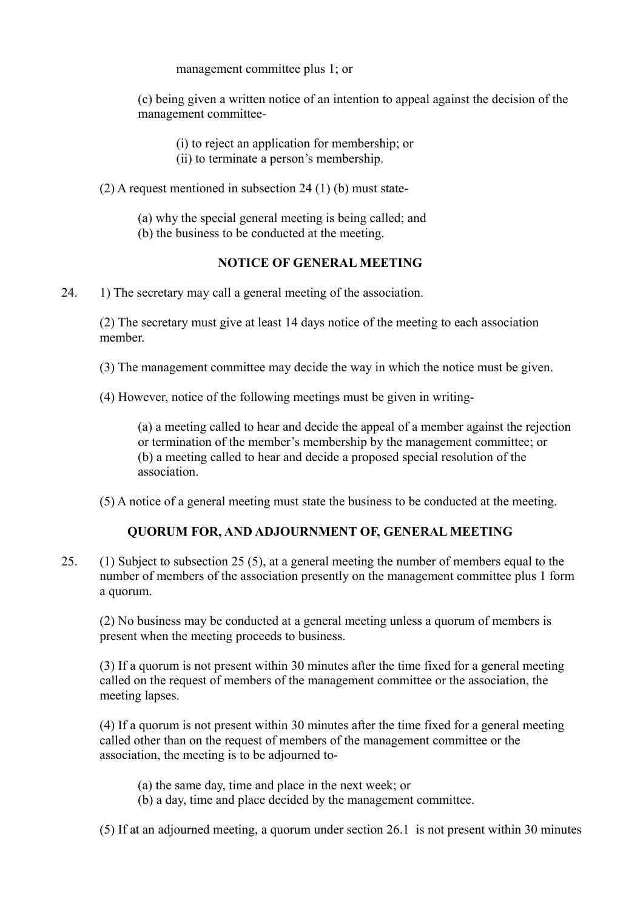management committee plus 1; or

(c) being given a written notice of an intention to appeal against the decision of the management committee-

(i) to reject an application for membership; or (ii) to terminate a person's membership.

(2) A request mentioned in subsection 24 (1) (b) must state-

(a) why the special general meeting is being called; and

(b) the business to be conducted at the meeting.

## **NOTICE OF GENERAL MEETING**

24. 1) The secretary may call a general meeting of the association.

(2) The secretary must give at least 14 days notice of the meeting to each association member.

(3) The management committee may decide the way in which the notice must be given.

(4) However, notice of the following meetings must be given in writing-

(a) a meeting called to hear and decide the appeal of a member against the rejection or termination of the member's membership by the management committee; or (b) a meeting called to hear and decide a proposed special resolution of the association.

(5) A notice of a general meeting must state the business to be conducted at the meeting.

## **QUORUM FOR, AND ADJOURNMENT OF, GENERAL MEETING**

25. (1) Subject to subsection 25 (5), at a general meeting the number of members equal to the number of members of the association presently on the management committee plus 1 form a quorum.

(2) No business may be conducted at a general meeting unless a quorum of members is present when the meeting proceeds to business.

(3) If a quorum is not present within 30 minutes after the time fixed for a general meeting called on the request of members of the management committee or the association, the meeting lapses.

(4) If a quorum is not present within 30 minutes after the time fixed for a general meeting called other than on the request of members of the management committee or the association, the meeting is to be adjourned to-

- (a) the same day, time and place in the next week; or
- (b) a day, time and place decided by the management committee.

(5) If at an adjourned meeting, a quorum under section 26.1 is not present within 30 minutes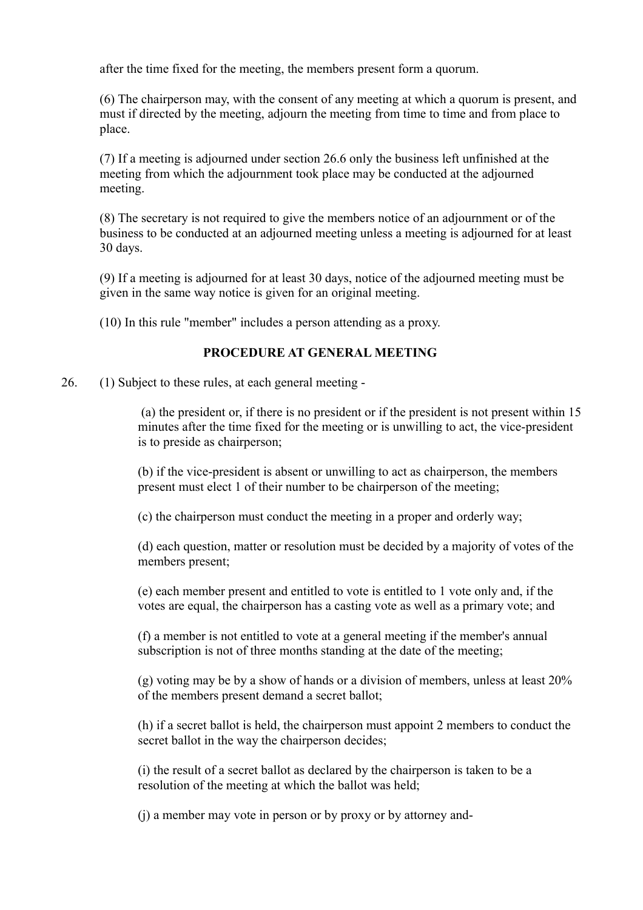after the time fixed for the meeting, the members present form a quorum.

(6) The chairperson may, with the consent of any meeting at which a quorum is present, and must if directed by the meeting, adjourn the meeting from time to time and from place to place.

(7) If a meeting is adjourned under section 26.6 only the business left unfinished at the meeting from which the adjournment took place may be conducted at the adjourned meeting.

(8) The secretary is not required to give the members notice of an adjournment or of the business to be conducted at an adjourned meeting unless a meeting is adjourned for at least 30 days.

(9) If a meeting is adjourned for at least 30 days, notice of the adjourned meeting must be given in the same way notice is given for an original meeting.

(10) In this rule "member" includes a person attending as a proxy.

## **PROCEDURE AT GENERAL MEETING**

26. (1) Subject to these rules, at each general meeting -

 (a) the president or, if there is no president or if the president is not present within 15 minutes after the time fixed for the meeting or is unwilling to act, the vice-president is to preside as chairperson;

(b) if the vice-president is absent or unwilling to act as chairperson, the members present must elect 1 of their number to be chairperson of the meeting;

(c) the chairperson must conduct the meeting in a proper and orderly way;

(d) each question, matter or resolution must be decided by a majority of votes of the members present;

(e) each member present and entitled to vote is entitled to 1 vote only and, if the votes are equal, the chairperson has a casting vote as well as a primary vote; and

(f) a member is not entitled to vote at a general meeting if the member's annual subscription is not of three months standing at the date of the meeting;

(g) voting may be by a show of hands or a division of members, unless at least 20% of the members present demand a secret ballot;

(h) if a secret ballot is held, the chairperson must appoint 2 members to conduct the secret ballot in the way the chairperson decides;

 (i) the result of a secret ballot as declared by the chairperson is taken to be a resolution of the meeting at which the ballot was held;

(j) a member may vote in person or by proxy or by attorney and-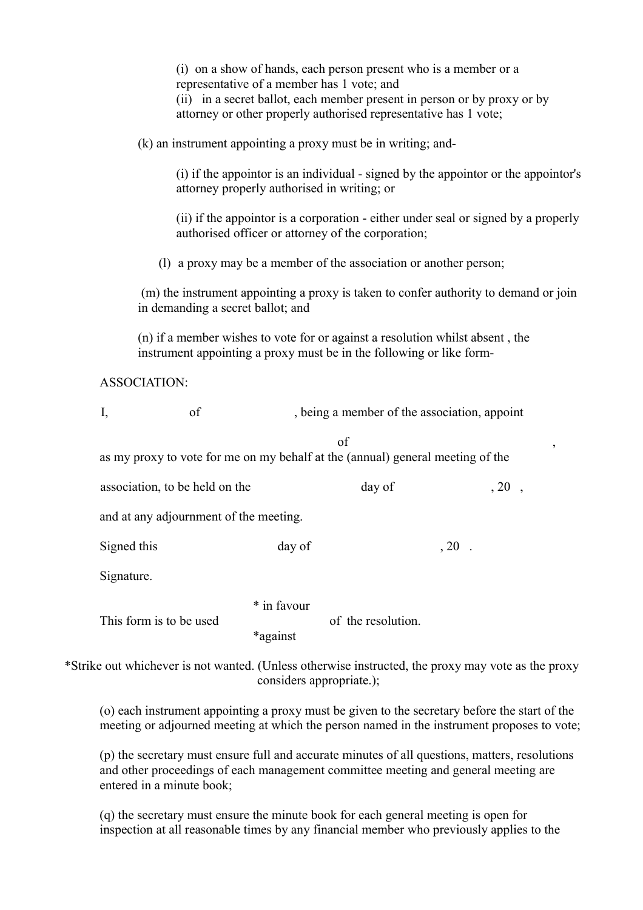| (i) on a show of hands, each person present who is a member or a<br>representative of a member has 1 vote; and<br>(ii) in a secret ballot, each member present in person or by proxy or by<br>attorney or other properly authorised representative has 1 vote; |                                                                                                                                                       |                         |                                              |          |  |  |
|----------------------------------------------------------------------------------------------------------------------------------------------------------------------------------------------------------------------------------------------------------------|-------------------------------------------------------------------------------------------------------------------------------------------------------|-------------------------|----------------------------------------------|----------|--|--|
| (k) an instrument appointing a proxy must be in writing; and-                                                                                                                                                                                                  |                                                                                                                                                       |                         |                                              |          |  |  |
|                                                                                                                                                                                                                                                                | (i) if the appointor is an individual - signed by the appointor or the appointor's<br>attorney properly authorised in writing; or                     |                         |                                              |          |  |  |
|                                                                                                                                                                                                                                                                | (ii) if the appoint is a corporation - either under seal or signed by a properly<br>authorised officer or attorney of the corporation;                |                         |                                              |          |  |  |
| (1) a proxy may be a member of the association or another person;                                                                                                                                                                                              |                                                                                                                                                       |                         |                                              |          |  |  |
|                                                                                                                                                                                                                                                                | (m) the instrument appointing a proxy is taken to confer authority to demand or join<br>in demanding a secret ballot; and                             |                         |                                              |          |  |  |
|                                                                                                                                                                                                                                                                | (n) if a member wishes to vote for or against a resolution whilst absent, the<br>instrument appointing a proxy must be in the following or like form- |                         |                                              |          |  |  |
| <b>ASSOCIATION:</b>                                                                                                                                                                                                                                            |                                                                                                                                                       |                         |                                              |          |  |  |
| I,                                                                                                                                                                                                                                                             | of                                                                                                                                                    |                         | , being a member of the association, appoint |          |  |  |
| of<br>,<br>as my proxy to vote for me on my behalf at the (annual) general meeting of the                                                                                                                                                                      |                                                                                                                                                       |                         |                                              |          |  |  |
|                                                                                                                                                                                                                                                                | association, to be held on the                                                                                                                        |                         | day of                                       | , 20,    |  |  |
| and at any adjournment of the meeting.                                                                                                                                                                                                                         |                                                                                                                                                       |                         |                                              |          |  |  |
|                                                                                                                                                                                                                                                                | Signed this                                                                                                                                           |                         |                                              | $, 20$ . |  |  |
|                                                                                                                                                                                                                                                                | Signature.                                                                                                                                            |                         |                                              |          |  |  |
|                                                                                                                                                                                                                                                                | This form is to be used                                                                                                                               | * in favour<br>*against | of the resolution.                           |          |  |  |
| *Strike out whichever is not wanted. (Unless otherwise instructed, the proxy may vote as the proxy<br>considers appropriate.);                                                                                                                                 |                                                                                                                                                       |                         |                                              |          |  |  |

(o) each instrument appointing a proxy must be given to the secretary before the start of the meeting or adjourned meeting at which the person named in the instrument proposes to vote;

(p) the secretary must ensure full and accurate minutes of all questions, matters, resolutions and other proceedings of each management committee meeting and general meeting are entered in a minute book;

(q) the secretary must ensure the minute book for each general meeting is open for inspection at all reasonable times by any financial member who previously applies to the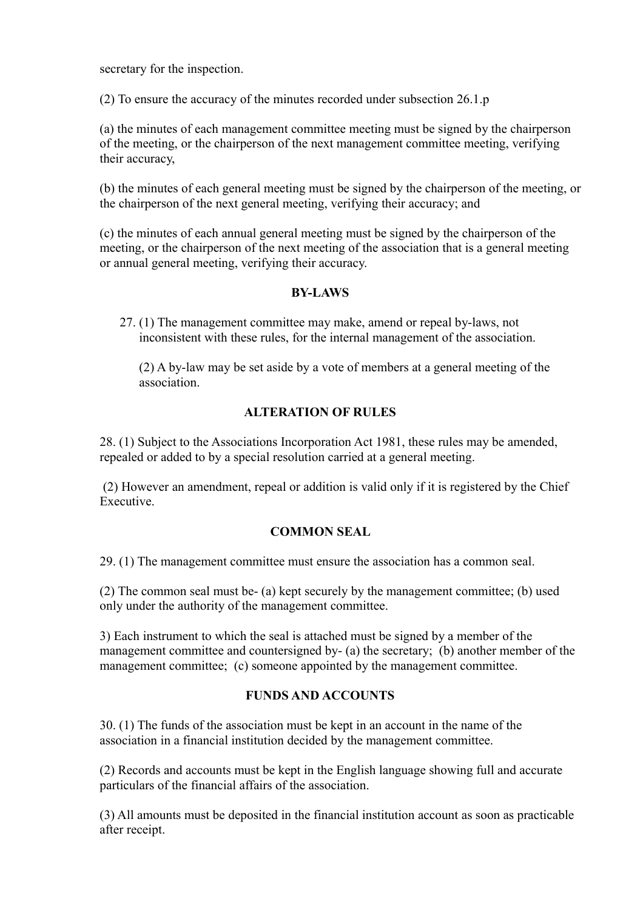secretary for the inspection.

(2) To ensure the accuracy of the minutes recorded under subsection 26.1.p

(a) the minutes of each management committee meeting must be signed by the chairperson of the meeting, or the chairperson of the next management committee meeting, verifying their accuracy,

(b) the minutes of each general meeting must be signed by the chairperson of the meeting, or the chairperson of the next general meeting, verifying their accuracy; and

(c) the minutes of each annual general meeting must be signed by the chairperson of the meeting, or the chairperson of the next meeting of the association that is a general meeting or annual general meeting, verifying their accuracy.

#### **BY-LAWS**

27. (1) The management committee may make, amend or repeal by-laws, not inconsistent with these rules, for the internal management of the association.

(2) A by-law may be set aside by a vote of members at a general meeting of the association.

#### **ALTERATION OF RULES**

28. (1) Subject to the Associations Incorporation Act 1981, these rules may be amended, repealed or added to by a special resolution carried at a general meeting.

 (2) However an amendment, repeal or addition is valid only if it is registered by the Chief Executive.

#### **COMMON SEAL**

29. (1) The management committee must ensure the association has a common seal.

(2) The common seal must be- (a) kept securely by the management committee; (b) used only under the authority of the management committee.

3) Each instrument to which the seal is attached must be signed by a member of the management committee and countersigned by- (a) the secretary; (b) another member of the management committee; (c) someone appointed by the management committee.

## **FUNDS AND ACCOUNTS**

30. (1) The funds of the association must be kept in an account in the name of the association in a financial institution decided by the management committee.

(2) Records and accounts must be kept in the English language showing full and accurate particulars of the financial affairs of the association.

(3) All amounts must be deposited in the financial institution account as soon as practicable after receipt.